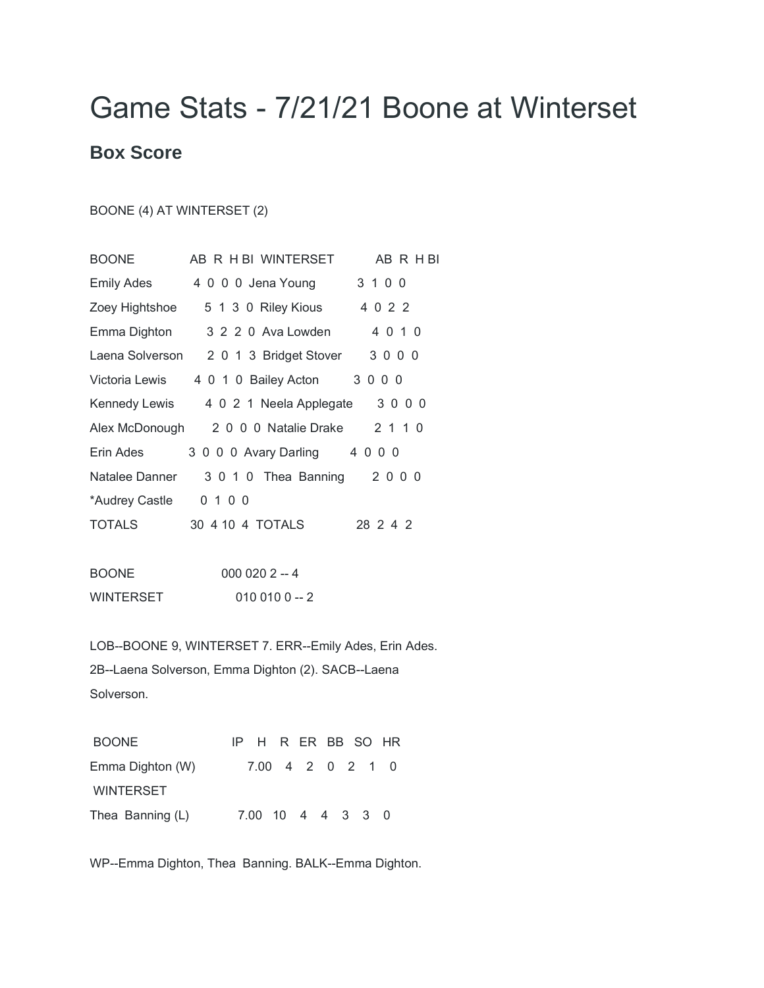## Game Stats - 7/21/21 Boone at Winterset

## **Box Score**

BOONE (4) AT WINTERSET (2)

| <b>BOONE</b>   | AB R H BI WINTERSET<br>AB R H BI               |
|----------------|------------------------------------------------|
| Emily Ades     | 3 1 0 0<br>4 0 0 0 Jena Young                  |
| Zoey Hightshoe | 5 1 3 0 Riley Kious 4 0 2 2                    |
| Emma Dighton   | 3 2 2 0 Ava Lowden<br>4 0 1 0                  |
|                | 3000<br>Laena Solverson 2 0 1 3 Bridget Stover |
| Victoria Lewis | 4 0 1 0 Bailey Acton 3 0 0 0                   |
|                | 3000<br>Kennedy Lewis 4 0 2 1 Neela Applegate  |
| Alex McDonough | 2 0 0 0 Natalie Drake<br>2 1 1 0               |
| Erin Ades      | 3 0 0 0 Avary Darling 4 0 0 0                  |
| Natalee Danner | 3 0 1 0 Thea Banning 2 0 0 0                   |
| *Audrey Castle | 0 1 0 0                                        |
| <b>TOTALS</b>  | 30 4 10 4 TOTALS<br>28 2 4 2                   |
|                |                                                |

| <b>BOONE</b> | $0000202 - 4$ |  |  |  |  |  |
|--------------|---------------|--|--|--|--|--|
| WINTERSET    | $0100100 - 2$ |  |  |  |  |  |

LOB--BOONE 9, WINTERSET 7. ERR--Emily Ades, Erin Ades. 2B--Laena Solverson, Emma Dighton (2). SACB--Laena Solverson.

| <b>BOONE</b>     |  | IP H R ER BB SO HR |  |  |  |
|------------------|--|--------------------|--|--|--|
| Emma Dighton (W) |  | 7.00 4 2 0 2 1 0   |  |  |  |
| <b>WINTERSET</b> |  |                    |  |  |  |
| Thea Banning (L) |  | 7.00 10 4 4 3 3 0  |  |  |  |

WP--Emma Dighton, Thea Banning. BALK--Emma Dighton.